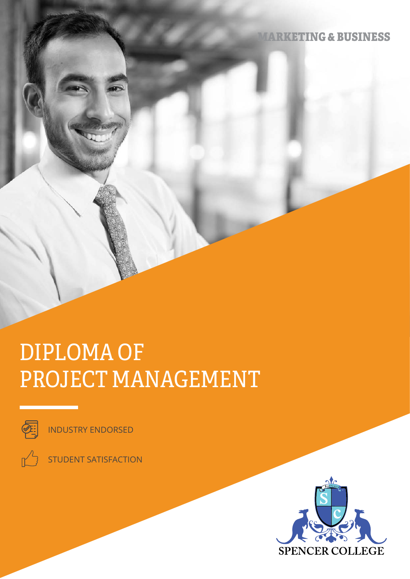MARKETING & BUSINESS

# DIPLOMA OF PROJECT MANAGEMENT



INDUSTRY ENDORSED



STUDENT SATISFACTION